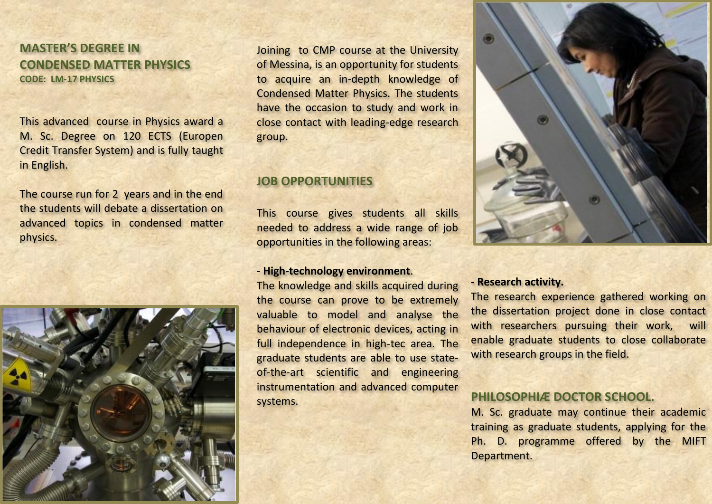**MASTER'S DEGREE IN CONDENSED MATTER PHYSICS CODE: LM-17 PHYSICS**

This advanced course in Physics award a M. Sc. Degree on 120 ECTS (Europen Credit Transfer System) and is fully taught in English.

The course run for 2 years and in the end the students will debate a dissertation on advanced topics in condensed matter physics.



Joining to CMP course at the University of Messina, is an opportunity for students to acquire an in-depth knowledge of Condensed Matter Physics. The students have the occasion to study and work in close contact with leading-edge research group.

#### **JOB OPPORTUNITIES**

This course gives students all skills needed to address a wide range of job opportunities in the following areas:

#### - **High-technology environment**.

The knowledge and skills acquired during the course can prove to be extremely valuable to model and analyse the behaviour of electronic devices, acting in full independence in high-tec area. The graduate students are able to use stateof-the-art scientific and engineering instrumentation and advanced computer systems.



#### **- Research activity.**

The research experience gathered working on the dissertation project done in close contact with researchers pursuing their work, will enable graduate students to close collaborate with research groups in the field.

#### **PHILOSOPHIÆ DOCTOR SCHOOL.**

M. Sc. graduate may continue their academic training as graduate students, applying for the Ph. D. programme offered by the MIFT Department.